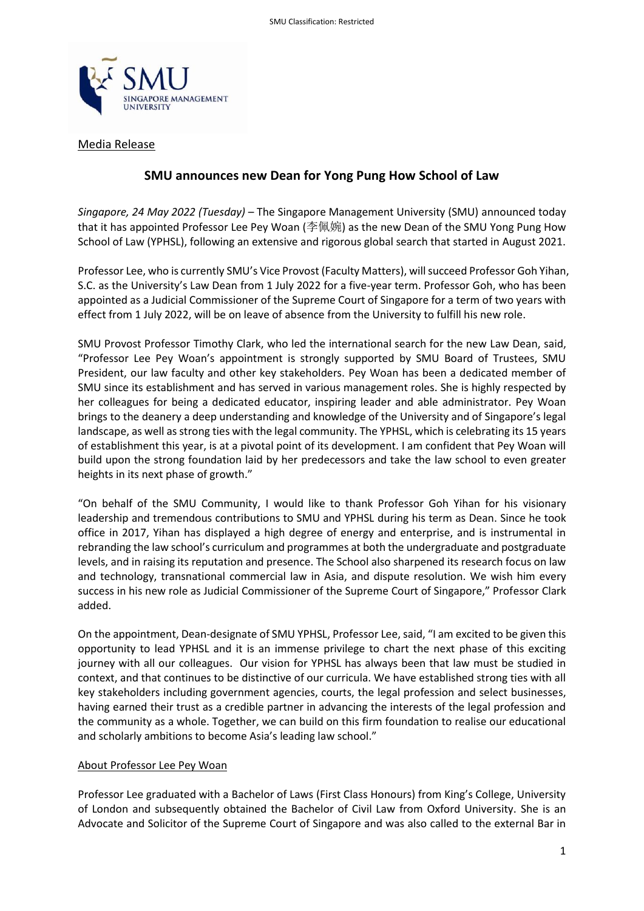

### Media Release

# **SMU announces new Dean for Yong Pung How School of Law**

*Singapore, 24 May 2022 (Tuesday)* – The Singapore Management University (SMU) announced today that it has appointed Professor Lee Pey Woan (李佩婉) as the new Dean of the SMU Yong Pung How School of Law (YPHSL), following an extensive and rigorous global search that started in August 2021.

Professor Lee, who is currently SMU's Vice Provost (Faculty Matters), will succeed Professor Goh Yihan, S.C. as the University's Law Dean from 1 July 2022 for a five-year term. Professor Goh, who has been appointed as a Judicial Commissioner of the Supreme Court of Singapore for a term of two years with effect from 1 July 2022, will be on leave of absence from the University to fulfill his new role.

SMU Provost Professor Timothy Clark, who led the international search for the new Law Dean, said, "Professor Lee Pey Woan's appointment is strongly supported by SMU Board of Trustees, SMU President, our law faculty and other key stakeholders. Pey Woan has been a dedicated member of SMU since its establishment and has served in various management roles. She is highly respected by her colleagues for being a dedicated educator, inspiring leader and able administrator. Pey Woan brings to the deanery a deep understanding and knowledge of the University and of Singapore's legal landscape, as well as strong ties with the legal community. The YPHSL, which is celebrating its 15 years of establishment this year, is at a pivotal point of its development. I am confident that Pey Woan will build upon the strong foundation laid by her predecessors and take the law school to even greater heights in its next phase of growth."

"On behalf of the SMU Community, I would like to thank Professor Goh Yihan for his visionary leadership and tremendous contributions to SMU and YPHSL during his term as Dean. Since he took office in 2017, Yihan has displayed a high degree of energy and enterprise, and is instrumental in rebranding the law school's curriculum and programmes at both the undergraduate and postgraduate levels, and in raising its reputation and presence. The School also sharpened its research focus on law and technology, transnational commercial law in Asia, and dispute resolution. We wish him every success in his new role as Judicial Commissioner of the Supreme Court of Singapore," Professor Clark added.

On the appointment, Dean-designate of SMU YPHSL, Professor Lee, said, "I am excited to be given this opportunity to lead YPHSL and it is an immense privilege to chart the next phase of this exciting journey with all our colleagues. Our vision for YPHSL has always been that law must be studied in context, and that continues to be distinctive of our curricula. We have established strong ties with all key stakeholders including government agencies, courts, the legal profession and select businesses, having earned their trust as a credible partner in advancing the interests of the legal profession and the community as a whole. Together, we can build on this firm foundation to realise our educational and scholarly ambitions to become Asia's leading law school."

## About Professor Lee Pey Woan

Professor Lee graduated with a Bachelor of Laws (First Class Honours) from King's College, University of London and subsequently obtained the Bachelor of Civil Law from Oxford University. She is an Advocate and Solicitor of the Supreme Court of Singapore and was also called to the external Bar in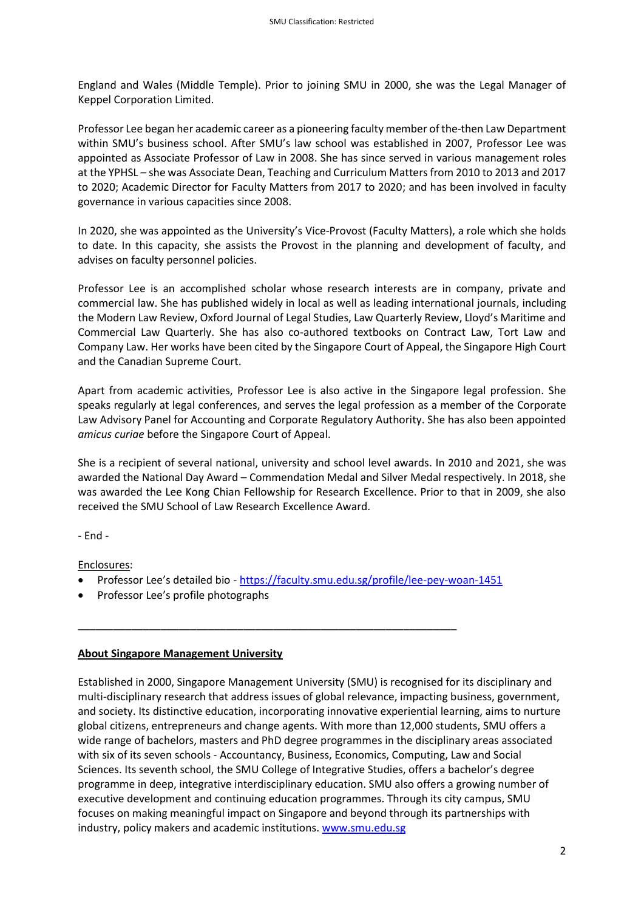England and Wales (Middle Temple). Prior to joining SMU in 2000, she was the Legal Manager of Keppel Corporation Limited.

Professor Lee began her academic career as a pioneering faculty member of the-then Law Department within SMU's business school. After SMU's law school was established in 2007, Professor Lee was appointed as Associate Professor of Law in 2008. She has since served in various management roles at the YPHSL – she was Associate Dean, Teaching and Curriculum Matters from 2010 to 2013 and 2017 to 2020; Academic Director for Faculty Matters from 2017 to 2020; and has been involved in faculty governance in various capacities since 2008.

In 2020, she was appointed as the University's Vice-Provost (Faculty Matters), a role which she holds to date. In this capacity, she assists the Provost in the planning and development of faculty, and advises on faculty personnel policies.

Professor Lee is an accomplished scholar whose research interests are in company, private and commercial law. She has published widely in local as well as leading international journals, including the Modern Law Review, Oxford Journal of Legal Studies, Law Quarterly Review, Lloyd's Maritime and Commercial Law Quarterly. She has also co-authored textbooks on Contract Law, Tort Law and Company Law. Her works have been cited by the Singapore Court of Appeal, the Singapore High Court and the Canadian Supreme Court.

Apart from academic activities, Professor Lee is also active in the Singapore legal profession. She speaks regularly at legal conferences, and serves the legal profession as a member of the Corporate Law Advisory Panel for Accounting and Corporate Regulatory Authority. She has also been appointed *amicus curiae* before the Singapore Court of Appeal.

She is a recipient of several national, university and school level awards. In 2010 and 2021, she was awarded the National Day Award – Commendation Medal and Silver Medal respectively. In 2018, she was awarded the Lee Kong Chian Fellowship for Research Excellence. Prior to that in 2009, she also received the SMU School of Law Research Excellence Award.

- End -

Enclosures:

• Professor Lee's detailed bio - <https://faculty.smu.edu.sg/profile/lee-pey-woan-1451>

\_\_\_\_\_\_\_\_\_\_\_\_\_\_\_\_\_\_\_\_\_\_\_\_\_\_\_\_\_\_\_\_\_\_\_\_\_\_\_\_\_\_\_\_\_\_\_\_\_\_\_\_\_\_\_\_\_\_\_\_\_\_\_\_

• Professor Lee's profile photographs

#### **About Singapore Management University**

Established in 2000, Singapore Management University (SMU) is recognised for its disciplinary and multi-disciplinary research that address issues of global relevance, impacting business, government, and society. Its distinctive education, incorporating innovative experiential learning, aims to nurture global citizens, entrepreneurs and change agents. With more than 12,000 students, SMU offers a wide range of bachelors, masters and PhD degree programmes in the disciplinary areas associated with six of its seven schools - Accountancy, Business, Economics, Computing, Law and Social Sciences. Its seventh school, the SMU College of Integrative Studies, offers a bachelor's degree programme in deep, integrative interdisciplinary education. SMU also offers a growing number of executive development and continuing education programmes. Through its city campus, SMU focuses on making meaningful impact on Singapore and beyond through its partnerships with industry, policy makers and academic institutions[. www.smu.edu.sg](http://www.smu.edu.sg/)